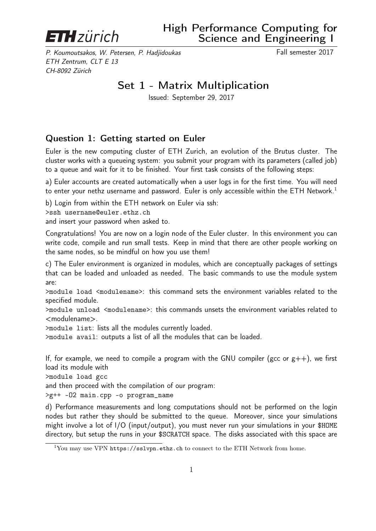

## High Performance Computing for Science and Engineering I

P. Koumoutsakos, W. Petersen, P. Hadjidoukas Fall semester 2017 ETH Zentrum, CLT E 13 CH-8092 Zürich

## Set 1 - Matrix Multiplication

Issued: September 29, 2017

## Question 1: Getting started on Euler

Euler is the new computing cluster of ETH Zurich, an evolution of the Brutus cluster. The cluster works with a queueing system: you submit your program with its parameters (called job) to a queue and wait for it to be finished. Your first task consists of the following steps:

a) Euler accounts are created automatically when a user logs in for the first time. You will need to enter your nethz username and password. Euler is only accessible within the ETH Network.<sup>1</sup>

b) Login from within the ETH network on Euler via ssh:

>ssh username@euler.ethz.ch

and insert your password when asked to.

Congratulations! You are now on a login node of the Euler cluster. In this environment you can write code, compile and run small tests. Keep in mind that there are other people working on the same nodes, so be mindful on how you use them!

c) The Euler environment is organized in modules, which are conceptually packages of settings that can be loaded and unloaded as needed. The basic commands to use the module system are:

>module load <modulename>: this command sets the environment variables related to the specified module.

>module unload <modulename>: this commands unsets the environment variables related to <modulename>.

>module list: lists all the modules currently loaded.

>module avail: outputs a list of all the modules that can be loaded.

If, for example, we need to compile a program with the GNU compiler (gcc or  $g++$ ), we first load its module with

>module load gcc

and then proceed with the compilation of our program:

>g++ -O2 main.cpp -o program\_name

d) Performance measurements and long computations should not be performed on the login nodes but rather they should be submitted to the queue. Moreover, since your simulations might involve a lot of I/O (input/output), you must never run your simulations in your \$HOME directory, but setup the runs in your \$SCRATCH space. The disks associated with this space are

<sup>&</sup>lt;sup>1</sup>You may use VPN https://sslvpn.ethz.ch to connect to the ETH Network from home.